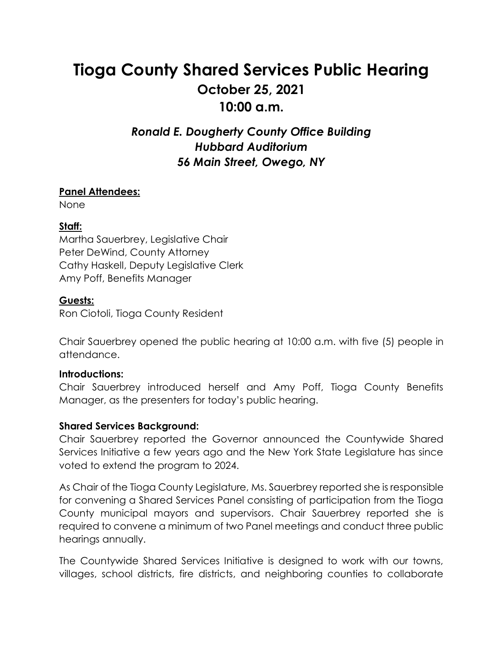# **Tioga County Shared Services Public Hearing October 25, 2021 10:00 a.m.**

# *Ronald E. Dougherty County Office Building Hubbard Auditorium 56 Main Street, Owego, NY*

## **Panel Attendees:**

None

### **Staff:**

Martha Sauerbrey, Legislative Chair Peter DeWind, County Attorney Cathy Haskell, Deputy Legislative Clerk Amy Poff, Benefits Manager

#### **Guests:**

Ron Ciotoli, Tioga County Resident

Chair Sauerbrey opened the public hearing at 10:00 a.m. with five (5) people in attendance.

#### **Introductions:**

Chair Sauerbrey introduced herself and Amy Poff, Tioga County Benefits Manager, as the presenters for today's public hearing.

#### **Shared Services Background:**

Chair Sauerbrey reported the Governor announced the Countywide Shared Services Initiative a few years ago and the New York State Legislature has since voted to extend the program to 2024.

As Chair of the Tioga County Legislature, Ms. Sauerbrey reported she is responsible for convening a Shared Services Panel consisting of participation from the Tioga County municipal mayors and supervisors. Chair Sauerbrey reported she is required to convene a minimum of two Panel meetings and conduct three public hearings annually.

The Countywide Shared Services Initiative is designed to work with our towns, villages, school districts, fire districts, and neighboring counties to collaborate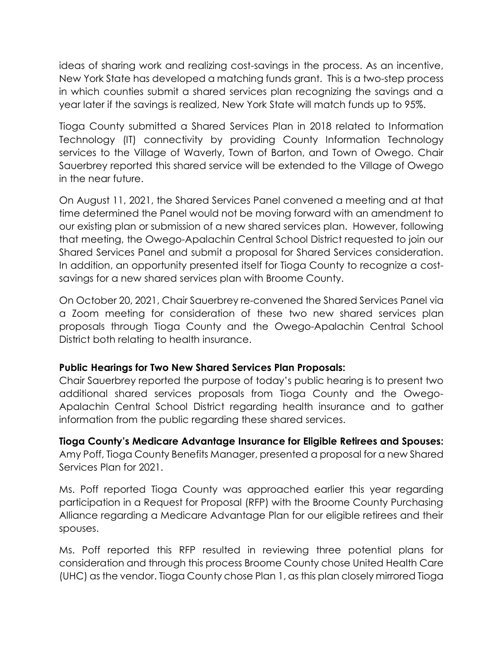ideas of sharing work and realizing cost-savings in the process. As an incentive, New York State has developed a matching funds grant. This is a two-step process in which counties submit a shared services plan recognizing the savings and a year later if the savings is realized, New York State will match funds up to 95%.

Tioga County submitted a Shared Services Plan in 2018 related to Information Technology (IT) connectivity by providing County Information Technology services to the Village of Waverly, Town of Barton, and Town of Owego. Chair Sauerbrey reported this shared service will be extended to the Village of Owego in the near future.

On August 11, 2021, the Shared Services Panel convened a meeting and at that time determined the Panel would not be moving forward with an amendment to our existing plan or submission of a new shared services plan. However, following that meeting, the Owego-Apalachin Central School District requested to join our Shared Services Panel and submit a proposal for Shared Services consideration. In addition, an opportunity presented itself for Tioga County to recognize a costsavings for a new shared services plan with Broome County.

On October 20, 2021, Chair Sauerbrey re-convened the Shared Services Panel via a Zoom meeting for consideration of these two new shared services plan proposals through Tioga County and the Owego-Apalachin Central School District both relating to health insurance.

#### **Public Hearings for Two New Shared Services Plan Proposals:**

Chair Sauerbrey reported the purpose of today's public hearing is to present two additional shared services proposals from Tioga County and the Owego-Apalachin Central School District regarding health insurance and to gather information from the public regarding these shared services.

**Tioga County's Medicare Advantage Insurance for Eligible Retirees and Spouses:**  Amy Poff, Tioga County Benefits Manager, presented a proposal for a new Shared Services Plan for 2021.

Ms. Poff reported Tioga County was approached earlier this year regarding participation in a Request for Proposal (RFP) with the Broome County Purchasing Alliance regarding a Medicare Advantage Plan for our eligible retirees and their spouses.

Ms. Poff reported this RFP resulted in reviewing three potential plans for consideration and through this process Broome County chose United Health Care (UHC) as the vendor. Tioga County chose Plan 1, as this plan closely mirrored Tioga